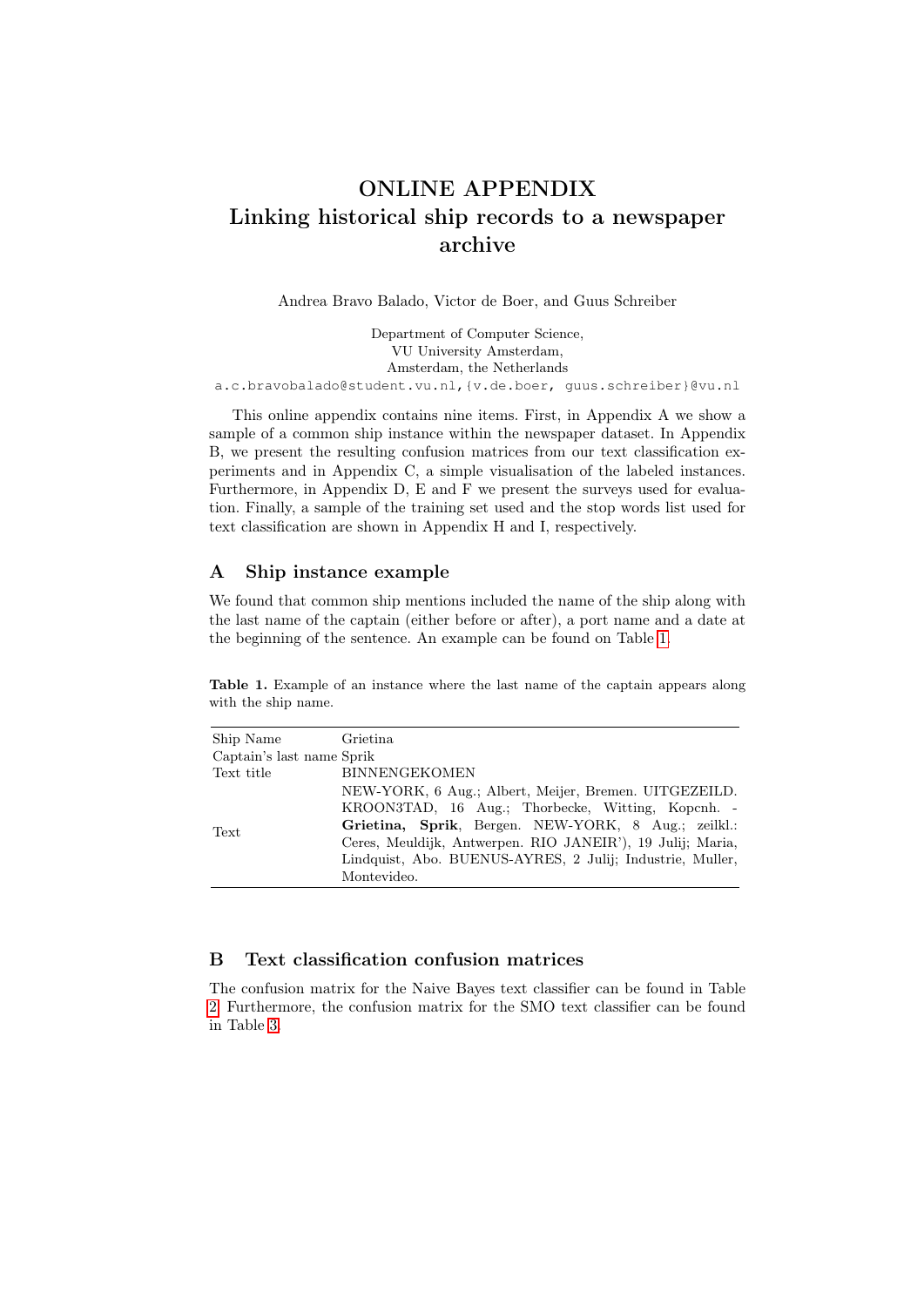# ONLINE APPENDIX Linking historical ship records to a newspaper archive

Andrea Bravo Balado, Victor de Boer, and Guus Schreiber

Department of Computer Science, VU University Amsterdam, Amsterdam, the Netherlands a.c.bravobalado@student.vu.nl,{v.de.boer, guus.schreiber}@vu.nl

This online appendix contains nine items. First, in Appendix A we show a sample of a common ship instance within the newspaper dataset. In Appendix B, we present the resulting confusion matrices from our text classification experiments and in Appendix C, a simple visualisation of the labeled instances. Furthermore, in Appendix D, E and F we present the surveys used for evaluation. Finally, a sample of the training set used and the stop words list used for text classification are shown in Appendix H and I, respectively.

# A Ship instance example

We found that common ship mentions included the name of the ship along with the last name of the captain (either before or after), a port name and a date at the beginning of the sentence. An example can be found on Table [1.](#page-0-0)

<span id="page-0-0"></span>Table 1. Example of an instance where the last name of the captain appears along with the ship name.

| Ship Name                 | Grietina                                                   |
|---------------------------|------------------------------------------------------------|
| Captain's last name Sprik |                                                            |
| Text title                | <b>BINNENGEKOMEN</b>                                       |
| Text                      | NEW-YORK, 6 Aug.; Albert, Meijer, Bremen. UITGEZEILD.      |
|                           | KROON3TAD, 16 Aug.; Thorbecke, Witting, Kopcnh. -          |
|                           | Grietina, Sprik, Bergen. NEW-YORK, 8 Aug.; zeilkl.:        |
|                           | Ceres, Meuldijk, Antwerpen. RIO JANEIR'), 19 Julij; Maria, |
|                           | Lindquist, Abo. BUENUS-AYRES, 2 Julij; Industrie, Muller,  |
|                           | Montevideo.                                                |

# B Text classification confusion matrices

The confusion matrix for the Naive Bayes text classifier can be found in Table [2.](#page-1-0) Furthermore, the confusion matrix for the SMO text classifier can be found in Table [3.](#page-1-1)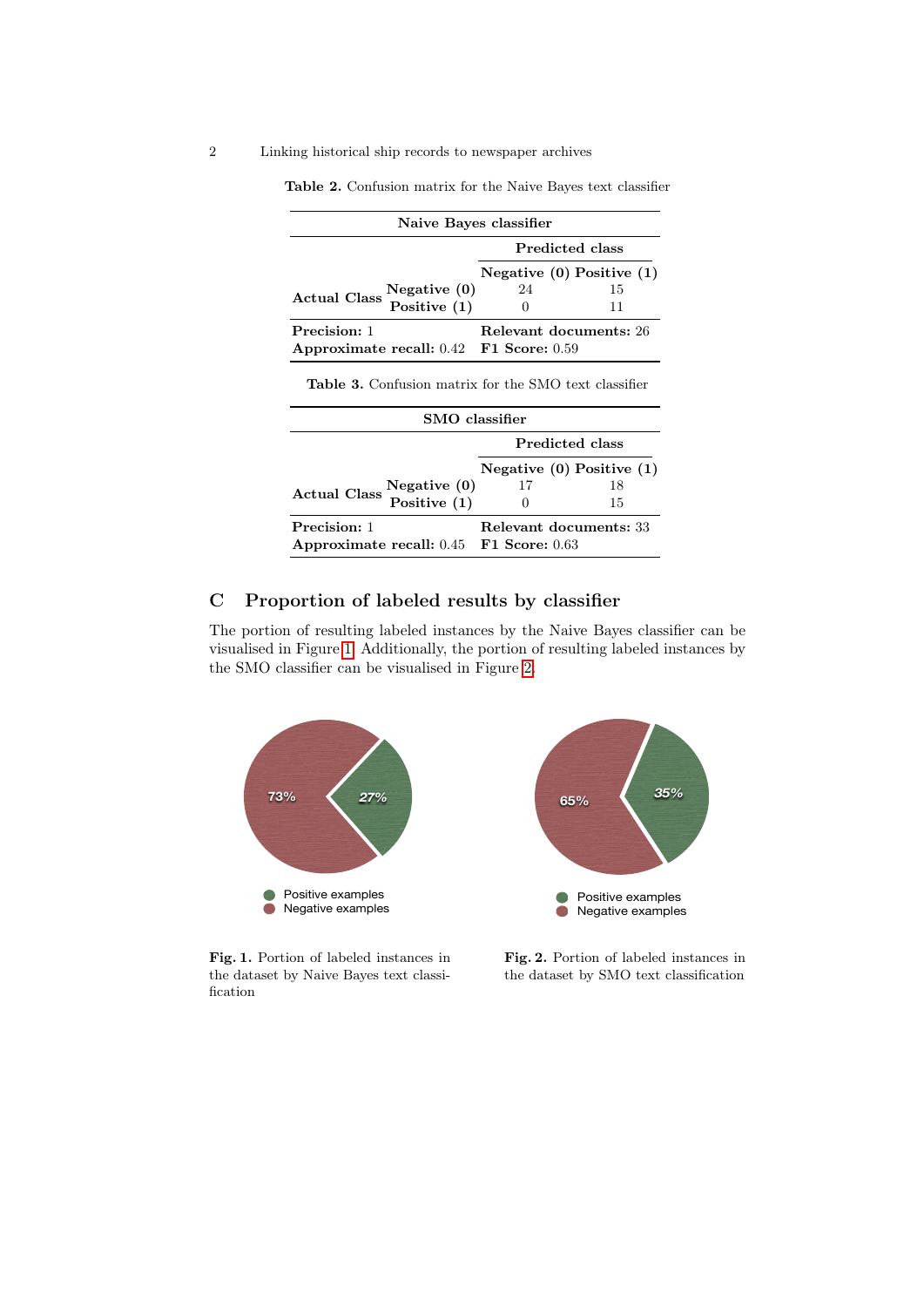| Naive Bayes classifier                  |                               |    |  |  |  |  |
|-----------------------------------------|-------------------------------|----|--|--|--|--|
|                                         | Predicted class               |    |  |  |  |  |
|                                         | Negative $(0)$ Positive $(1)$ |    |  |  |  |  |
| <b>Actual Class</b>                     | 24                            | 15 |  |  |  |  |
| Negative (0)<br>Positive (1)            |                               | 11 |  |  |  |  |
| Precision: 1                            | Relevant documents: 26        |    |  |  |  |  |
| Approximate recall: 0.42 F1 Score: 0.59 |                               |    |  |  |  |  |

<span id="page-1-0"></span>Table 2. Confusion matrix for the Naive Bayes text classifier

Table 3. Confusion matrix for the SMO text classifier

<span id="page-1-1"></span>

| SMO classifier                                               |                 |                               |  |  |  |  |
|--------------------------------------------------------------|-----------------|-------------------------------|--|--|--|--|
|                                                              | Predicted class |                               |  |  |  |  |
|                                                              |                 | Negative $(0)$ Positive $(1)$ |  |  |  |  |
| Actual Class $\frac{\text{Negative}(0)}{\text{Positive}(1)}$ | 17              | 18                            |  |  |  |  |
|                                                              |                 | 15                            |  |  |  |  |
| Precision: 1<br>Approximate recall: 0.45 F1 Score: 0.63      |                 | Relevant documents: 33        |  |  |  |  |

# C Proportion of labeled results by classifier

The portion of resulting labeled instances by the Naive Bayes classifier can be visualised in Figure [1.](#page-1-2) Additionally, the portion of resulting labeled instances by the SMO classifier can be visualised in Figure [2.](#page-1-3)



Fig. 1. Portion of labeled instances in the dataset by Naive Bayes text classification

<span id="page-1-3"></span><span id="page-1-2"></span>Fig. 2. Portion of labeled instances in the dataset by SMO text classification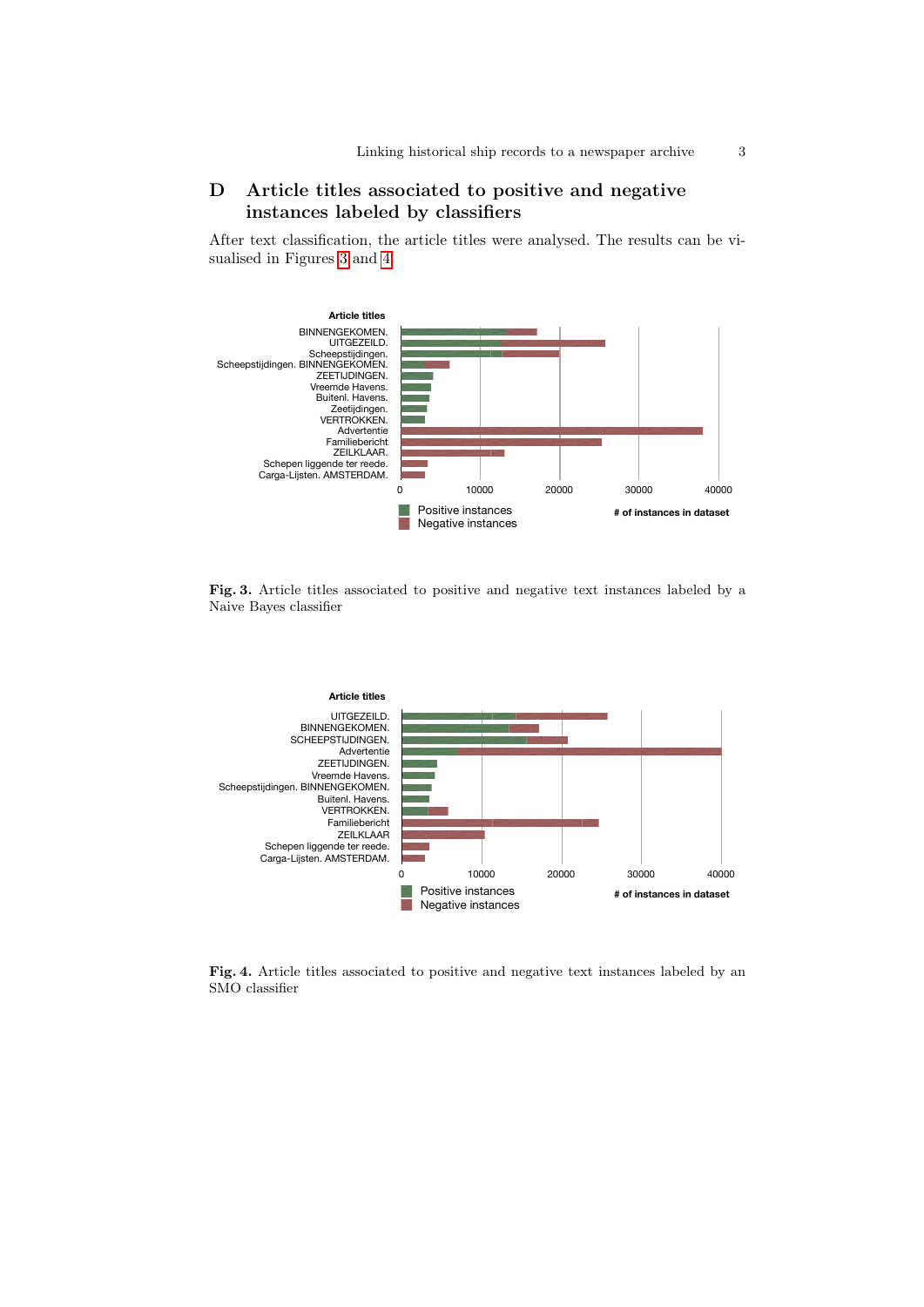# D Article titles associated to positive and negative instances labeled by classifiers

After text classification, the article titles were analysed. The results can be visualised in Figures [3](#page-2-0) and [4.](#page-2-1)



<span id="page-2-0"></span>Fig. 3. Article titles associated to positive and negative text instances labeled by a Naive Bayes classifier



<span id="page-2-1"></span>Fig. 4. Article titles associated to positive and negative text instances labeled by an SMO classifier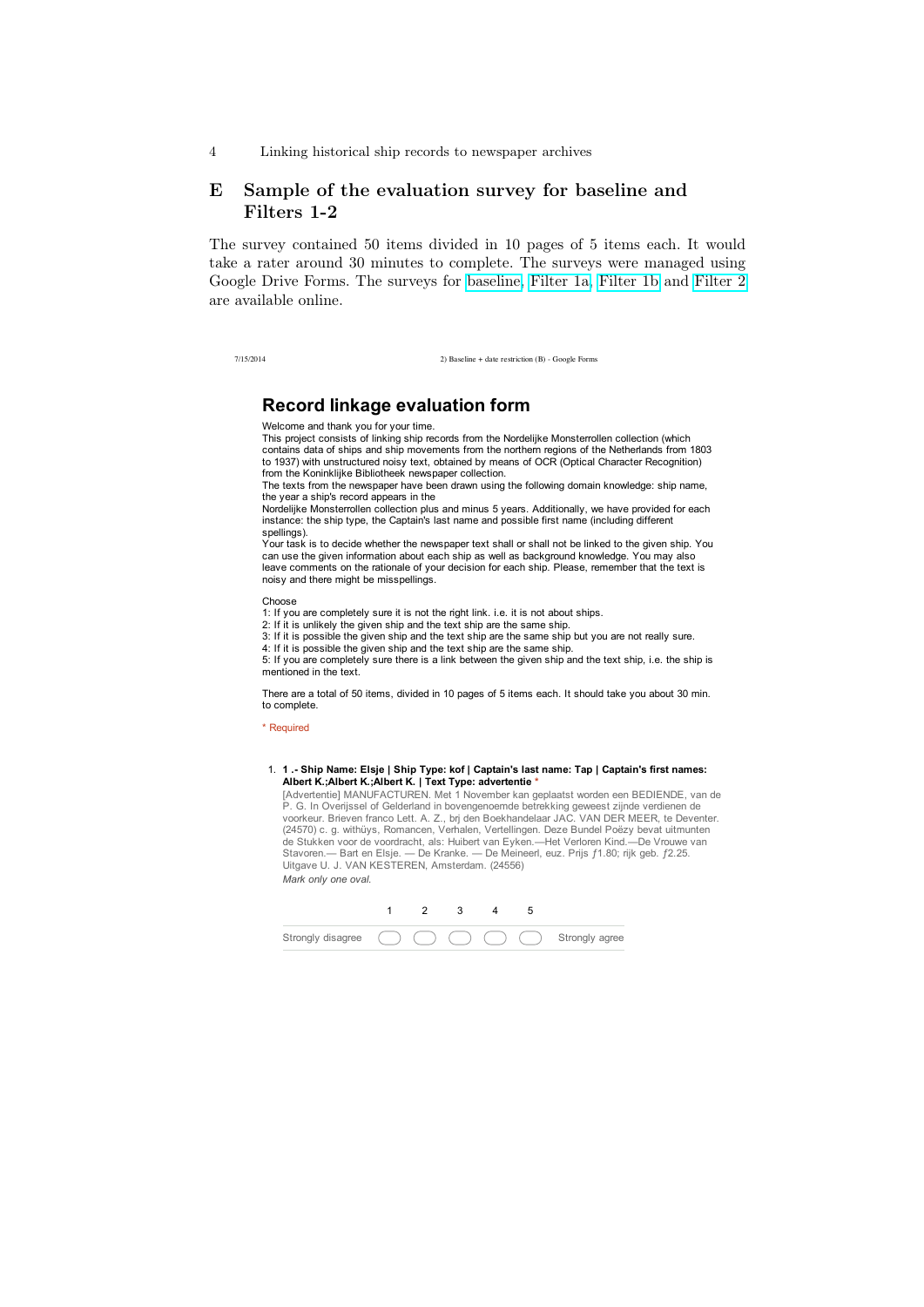# E Sample of the evaluation survey for baseline and Filters 1-2

The survey contained 50 items divided in 10 pages of 5 items each. It would take a rater around 30 minutes to complete. The surveys were managed using Google Drive Forms. The surveys for [baseline,](https://docs.google.com/forms/d/1xXd00LzlxkIvEmMn_eaPybe8k9ApCttEofNXsecvnG8/viewform?usp=send_form) [Filter 1a,](https://docs.google.com/forms/d/1fCgi6oQjWo3QHqrgO-i5JQHxmIIzzKXz1B7tQ7JfsLc/viewform?usp=send_form) [Filter 1b](https://docs.google.com/forms/d/1A8pk3-DzrvHh6XcAHZVCFfGcEsEtez0Qj6dXPah6cXM/viewform?usp=send_form) and [Filter 2](https://docs.google.com/forms/d/1mfNoLWdugKGVlIUwHPZQDUjYGDZ8umUbOmOhWgsOyIk/viewform?usp=send_form) are available online.

7/15/2014 2) Baseline + date restriction (B) - Google Forms

## **Record linkage evaluation form**

Welcome and thank you for your time.

This project consists of linking ship records from the Nordelijke Monsterrollen collection (which contains data of ships and ship movements from the northern regions of the Netherlands from 1803 to 1937) with unstructured noisy text, obtained by means of OCR (Optical Character Recognition) from the Koninklijke Bibliotheek newspaper collection.

The texts from the newspaper have been drawn using the following domain knowledge: ship name. the year a ship's record appears in the

Nordelijke Monsterrollen collection plus and minus 5 years. Additionally, we have provided for each instance: the ship type, the Captain's last name and possible first name (including different spellings).

Your task is to decide whether the newspaper text shall or shall not be linked to the given ship. You can use the given information about each ship as well as background knowledge. You may also leave comments on the rationale of your decision for each ship. Please, remember that the text is noisy and there might be misspellings.

Choose

1: If you are completely sure it is not the right link. i.e. it is not about ships.

2: If it is unlikely the given ship and the text ship are the same ship.

3: If it is possible the given ship and the text ship are the same ship but you are not really sure.

4: If it is possible the given ship and the text ship are the same ship. 5: If you are completely sure there is a link between the given ship and the text ship, i.e. the ship is mentioned in the text.

There are a total of 50 items, divided in 10 pages of 5 items each. It should take you about 30 min. to complete.

\* Required

1. **1 .- Ship Name: Elsje | Ship Type: kof | Captain's last name: Tap | Captain's first names: Albert K.;Albert K.;Albert K. | Text Type: advertentie \***

[Advertentie] MANUFACTUREN. Met 1 November kan geplaatst worden een BEDIENDE, van de<br>P. G. In Overijssel of Gelderland in bovengenoemde betrekking geweest zijnde verdienen de<br>voorkeur. Brieven franco Lett. A. Z., brj den B Stavoren. - Bart en Elsje. - De Kranke. - De Meineerl, euz. Prijs f1.80; rijk geb. f2.25. Uitgave U. J. VAN KESTEREN, Amsterdam. (24556) *Mark only one oval.*

| Strongly disagree () |  |  | $( ) ( ) ( )$ ( ) Strongly agree |
|----------------------|--|--|----------------------------------|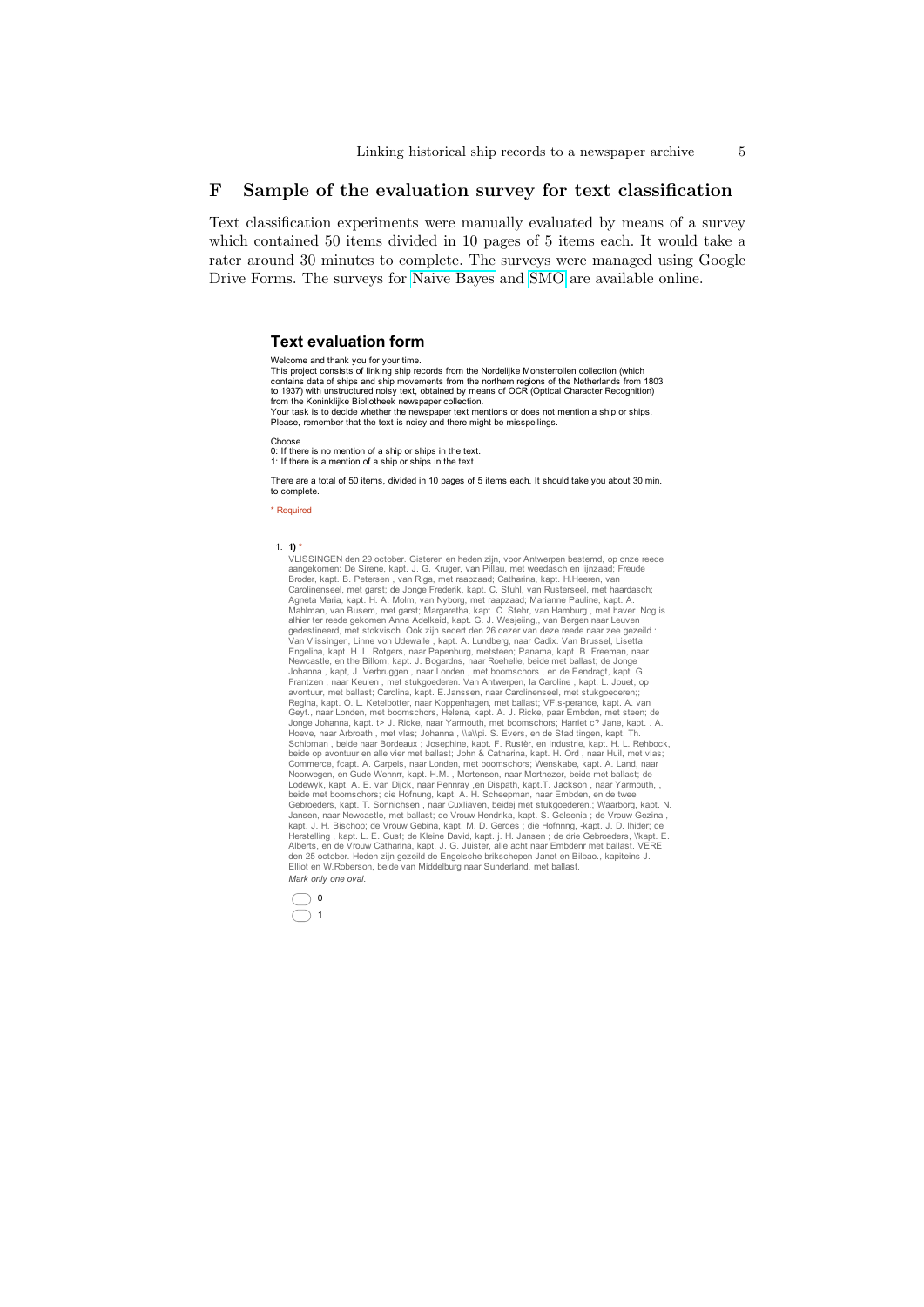### F Sample of the evaluation survey for text classification

Text classification experiments were manually evaluated by means of a survey which contained 50 items divided in 10 pages of 5 items each. It would take a rater around 30 minutes to complete. The surveys were managed using Google Drive Forms. The surveys for [Naive Bayes](https://docs.google.com/forms/d/1Nw2sSPDKkU5ic0ctXfHqoholbNNPuV_muM9GSlC99Fk/viewform?usp=send_form) and [SMO](https://docs.google.com/forms/d/1dPpfBKisuU7KQHdaMn9YqWJEx2Fn6Psk5gCDiI3092M/viewform?usp=send_form) are available online.

#### **Text evaluation form**

Welcome and thank you for your time. This project consists of linking ship records from the Nordelijke Monsterrollen collection (which contains data of ships and ship movements from the northern regions of the Netherlands from 1803 to 1937) with unstructured noisy text, obtained by means of OCR (Optical Character Recognition) from the Koninklijke Bibliotheek newspaper collection. Your task is to decide whether the newspaper text mentions or does not mention a ship or ships. Please, remember that the text is noisy and there might be misspellings. Choose 0: If there is no mention of a ship or ships in the text. 1: If there is a mention of a ship or ships in the text.

There are a total of 50 items, divided in 10 pages of 5 items each. It should take you about 30 min. to complete.

\* Required

1. **1)** \*<br>VLISSINGEN den 29 october. Gisteren en heden zijn, voor Antwerpen bestemd, op onze reede VLISSINGEN den 29 october. Gisteren en heden zijn, voor Antwerpen bestemd, op onze reede aangekomen: De Sirene, kapt. J. G. Kruger, van Piliau, met weedasch en lijnzaad; Freude Broder, kapt. B. Petersen, van Riga, met raap Jonge Johanna, kapt. t> J. Ricke, naar Yarmouth, met boomschors; Harriet c? Jane, kapt. . A. Hoeve, naar Arbroath , met vlas; Johanna , \\a\\pi. S. Evers, en de Stad tingen, kapt. Th.<br>Schipman , beide naar Bordeaux ; Josephine, kapt. F. Ruster, en Industrie, kapt. H. L. Rehbock<br>beide op avontuur en alle vier met b Noorwegen, en Gude Wennrr, kapt. H.M. , Mortensen, naar Mortnezer, beide met ballast; de Lodewyk, kapt. A. E. van Dijck, naar Pennray ,en Dispath, kapt.T. Jackson , naar Yarmouth, , beide met boomschors; die Hofnung, kapt. A. H. Scheepman, naar Embden, en de twee<br>Gebroeders, kapt. T. Sonnichsen , naar Cuxliaven, beidej met stukgoederen.; Waarborg, kapt. N.<br>Jansen, naar Newcastle, met ballast; de Vrouw kapt. J. H. Bischop; de Vrouw Gebina, kapt, M. D. Gerdes ; die Hofnnng, -kapt. J. D. Ihider; de<br>Herstelling , kapt. L. E. Gust; de Kleine David, kapt. j. H. Jansen ; de drie Gebroeders, \'kapt. E.<br>Alberts, en de Vrouw Cath den 25 october. Heden zijn gezeild de Engelsche brikschepen Janet en Bilbao., kapiteins J. Elliot en W.Roberson, beide van Middelburg naar Sunderland, met ballast. *Mark only one oval.*

 $\bigcirc$  $\bigcirc$  1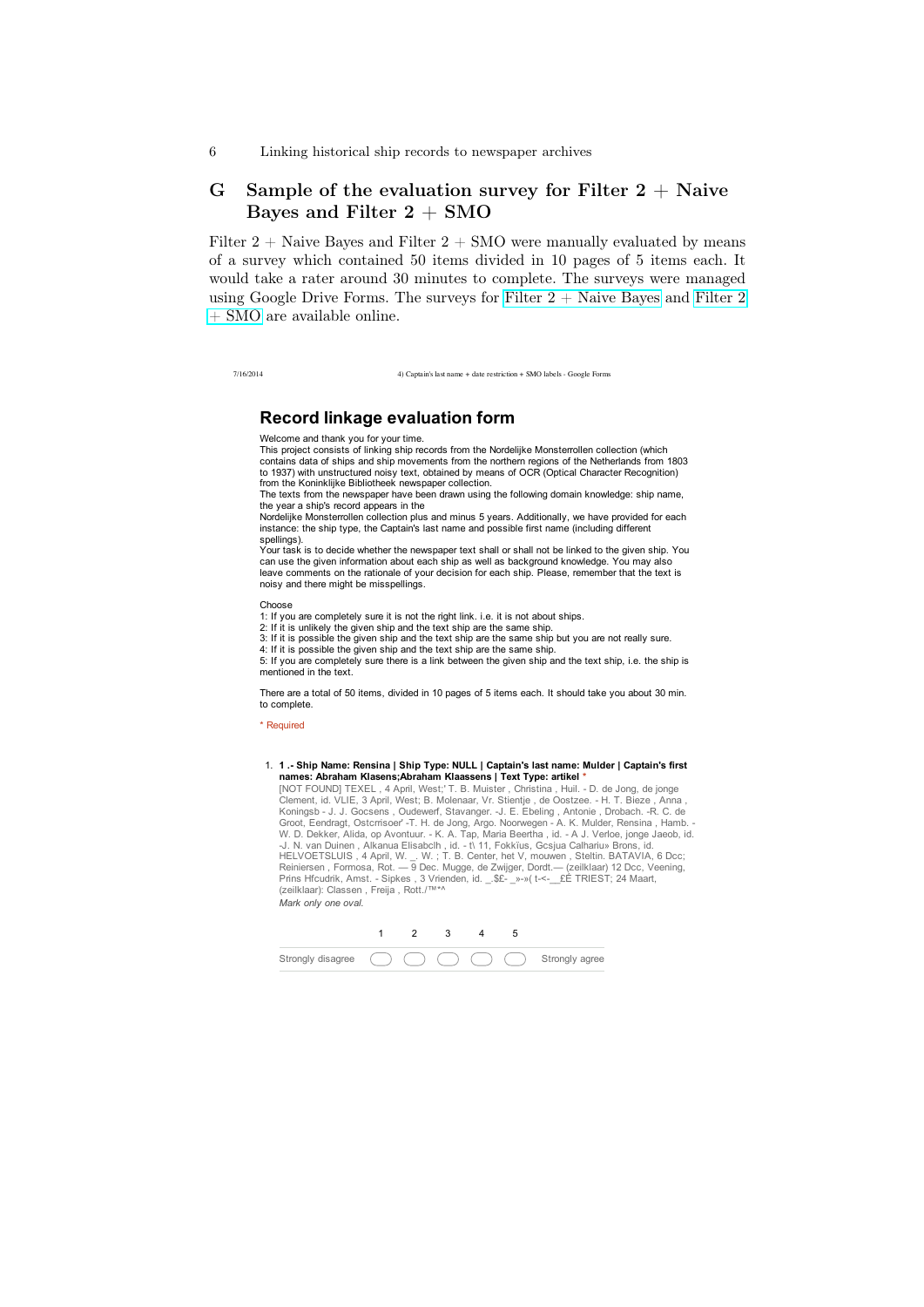# G Sample of the evaluation survey for Filter  $2 +$  Naive Bayes and Filter  $2 + SMO$

Filter  $2 +$  Naive Bayes and Filter  $2 +$  SMO were manually evaluated by means of a survey which contained 50 items divided in 10 pages of 5 items each. It would take a rater around 30 minutes to complete. The surveys were managed using Google Drive Forms. The surveys for Filter  $2 +$  Naive Bayes and [Filter 2](https://docs.google.com/forms/d/1gbOiQtP3W9Z1AsZaY_MTvwukGK4NZldQuWmXlbN1154/viewform?usp=send_form) [+ SMO](https://docs.google.com/forms/d/1gbOiQtP3W9Z1AsZaY_MTvwukGK4NZldQuWmXlbN1154/viewform?usp=send_form) are available online.

7/16/2014 4) Captain's last name + date restriction + SMO labels - Google Forms

# **Record linkage evaluation form**

Welcome and thank you for your time.

This project consists of linking ship records from the Nordelijke Monsterrollen collection (which contains data of ships and ship movements from the northern regions of the Netherlands from 1803 to 1937) with unstructured noisy text, obtained by means of OCR (Optical Character Recognition) from the Koninklijke Bibliotheek newspaper collection.

The texts from the newspaper have been drawn using the following domain knowledge: ship name, the year a ship's record appears in the

Nordelijke Monsterrollen collection plus and minus 5 years. Additionally, we have provided for each instance: the ship type, the Captain's last name and possible first name (including different spellings).

Your task is to decide whether the newspaper text shall or shall not be linked to the given ship. You can use the given information about each ship as well as background knowledge. You may also leave comments on the rationale of your decision for each ship. Please, remember that the text is noisy and there might be misspellings.

Choose

1: If you are completely sure it is not the right link. i.e. it is not about ships.

2: If it is unlikely the given ship and the text ship are the same ship.

3: If it is possible the given ship and the text ship are the same ship but you are not really sure. 4: If it is possible the given ship and the text ship are the same ship.

5: If you are completely sure there is a link between the given ship and the text ship, i.e. the ship is mentioned in the text.

There are a total of 50 items, divided in 10 pages of 5 items each. It should take you about 30 min. to complete.

\* Required

1. **1 .- Ship Name: Rensina | Ship Type: NULL | Captain's last name: Mulder | Captain's first names: Abraham Klasens;Abraham Klaassens | Text Type: artikel \***

[NOT FOUND] TEXEL , 4 April, West;' T. B. Muister , Christina , Huil. - D. de Jong, de jonge Clement, id. VLIE, 3 April, West; B. Molenaar, Vr. Stientje , de Oostzee. - H. T. Bieze , Anna ,<br>Koningsb - J. J. Gocsens , Oudewerf, Stavanger. -J. E. Ebeling , Antonie , Drobach. -R. C. de<br>Groot, Eendragt, Ostcrrisoer' -W. D. Dekker, Alida, op Avontuur. - K. A. Tap, Maria Beertha , id. - A J. Verloe, jonge Jaeob, id. -J. N. van Duinen , Alkanua Elisabclh , id. - t\ 11, Fokkïus, Gcsjua Calhariu» Brons, id. HELVOETSLUIS , 4 April, W. \_. W. ; T. B. Center, het V, mouwen , Steltin. BATAVIA, 6 Dcc;<br>Reiniersen , Formosa, Rot. — 9 Dec. Mugge, de Zwijger, Dordt.— (zeilklaar) 12 Dcc, Veening,<br>Prins Hfcudrik, Amst. - Sipkes , 3 Vrie *Mark only one oval.*

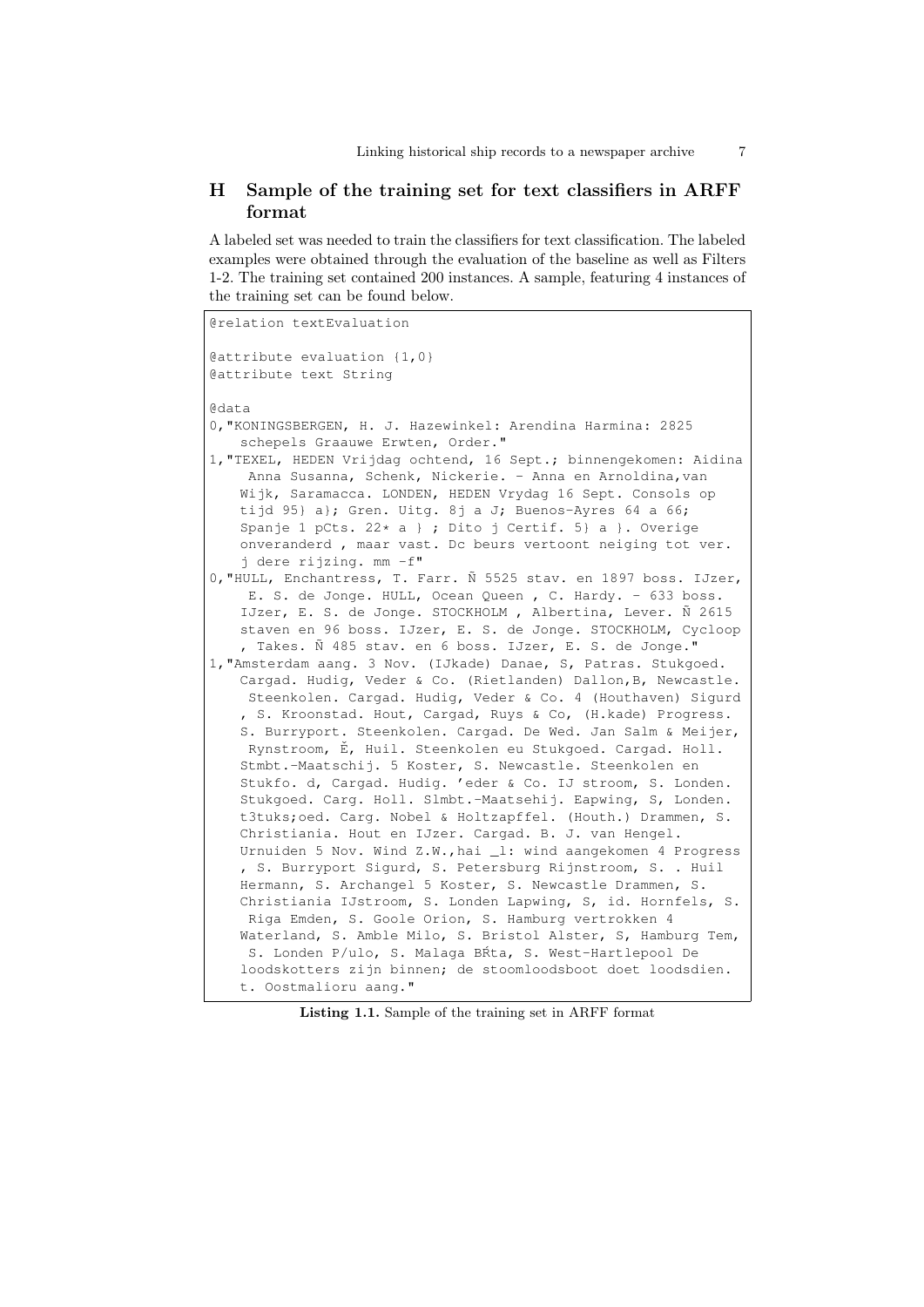# H Sample of the training set for text classifiers in ARFF format

A labeled set was needed to train the classifiers for text classification. The labeled examples were obtained through the evaluation of the baseline as well as Filters 1-2. The training set contained 200 instances. A sample, featuring 4 instances of the training set can be found below.

```
@relation textEvaluation
@attribute evaluation {1,0}
@attribute text String
@data
0,"KONINGSBERGEN, H. J. Hazewinkel: Arendina Harmina: 2825
   schepels Graauwe Erwten, Order."
1,"TEXEL, HEDEN Vrijdag ochtend, 16 Sept.; binnengekomen: Aidina
    Anna Susanna, Schenk, Nickerie. - Anna en Arnoldina, van
   Wijk, Saramacca. LONDEN, HEDEN Vrydag 16 Sept. Consols op
   tijd 95} a}; Gren. Uitg. 8j a J; Buenos-Ayres 64 a 66;
   Spanje 1 pCts. 22 \times a } ; Dito j Certif. 5} a }. Overige
   onveranderd , maar vast. Dc beurs vertoont neiging tot ver.
   j dere rijzing. mm -f"
0,"HULL, Enchantress, T. Farr. Ñ 5525 stav. en 1897 boss. IJzer,
    E. S. de Jonge. HULL, Ocean Queen , C. Hardy. - 633 boss.
   IJzer, E. S. de Jonge. STOCKHOLM , Albertina, Lever. Ñ 2615
   staven en 96 boss. IJzer, E. S. de Jonge. STOCKHOLM, Cycloop
   , Takes. Ñ 485 stav. en 6 boss. IJzer, E. S. de Jonge."
1,"Amsterdam aang. 3 Nov. (IJkade) Danae, S, Patras. Stukgoed.
   Cargad. Hudig, Veder & Co. (Rietlanden) Dallon,B, Newcastle.
    Steenkolen. Cargad. Hudig, Veder & Co. 4 (Houthaven) Sigurd
   , S. Kroonstad. Hout, Cargad, Ruys & Co, (H.kade) Progress.
   S. Burryport. Steenkolen. Cargad. De Wed. Jan Salm & Meijer,
    Rynstroom, Ě, Huil. Steenkolen eu Stukgoed. Cargad. Holl.
   Stmbt.-Maatschij. 5 Koster, S. Newcastle. Steenkolen en
   Stukfo. d, Cargad. Hudig. 'eder & Co. IJ stroom, S. Londen.
   Stukgoed. Carg. Holl. Slmbt.-Maatsehij. Eapwing, S, Londen.
   t3tuks;oed. Carg. Nobel & Holtzapffel. (Houth.) Drammen, S.
   Christiania. Hout en IJzer. Cargad. B. J. van Hengel.
   Urnuiden 5 Nov. Wind Z.W.,hai _l: wind aangekomen 4 Progress
   , S. Burryport Sigurd, S. Petersburg Rijnstroom, S. . Huil
   Hermann, S. Archangel 5 Koster, S. Newcastle Drammen, S.
   Christiania IJstroom, S. Londen Lapwing, S, id. Hornfels, S.
    Riga Emden, S. Goole Orion, S. Hamburg vertrokken 4
   Waterland, S. Amble Milo, S. Bristol Alster, S, Hamburg Tem,
    S. Londen P/ulo, S. Malaga BRta, S. West-Hartlepool De
   loodskotters zijn binnen; de stoomloodsboot doet loodsdien.
   t. Oostmalioru aang."
```
Listing 1.1. Sample of the training set in ARFF format